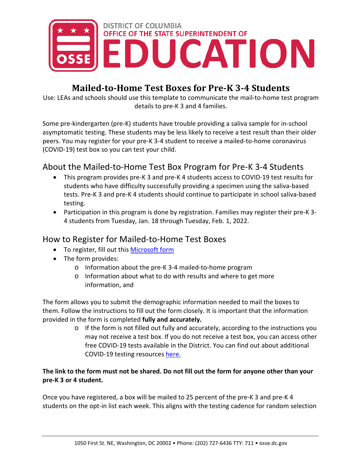

# **Mailed-to-Home Test Boxes for Pre-K 3-4 Students**

Use: LEAs and schools should use this template to communicate the mail-to-home test program details to pre-K 3 and 4 families.

Some pre-kindergarten (pre-K) students have trouble providing a saliva sample for in-school asymptomatic testing. These students may be less likely to receive a test result than their older peers. You may register for your pre-K 3-4 student to receive a mailed-to-home coronavirus (COVID-19) test box so you can test your child.

## About the Mailed-to-Home Test Box Program for Pre-K 3-4 Students

- This program provides pre-K 3 and pre-K 4 students access to COVID-19 test results for students who have difficulty successfully providing a specimen using the saliva-based tests. Pre-K 3 and pre-K 4 students should continue to participate in school saliva-based testing.
- Participation in this program is done by registration. Families may register their pre-K 3- 4 students from Tuesday, Jan. 18 through Tuesday, Feb. 1, 2022.

### How to Register for Mailed-to-Home Test Boxes

- To register, fill out this [Microsoft form](https://forms.office.com/g/z6heKJT5bk)
- The form provides:
	- o Information about the pre-K 3-4 mailed-to-home program
	- o Information about what to do with results and where to get more information, and

The form allows you to submit the demographic information needed to mail the boxes to them. Follow the instructions to fill out the form closely. It is important that the information provided in the form is completed **fully and accurately.**

> o If the form is not filled out fully and accurately, according to the instructions you may not receive a test box. If you do not receive a test box, you can access other free COVID-19 tests available in the District. You can find out about additional COVID-19 testing resources [here.](https://coronavirus.dc.gov/testing)

#### **The link to the form must not be shared. Do not fill out the form for anyone other than your pre-K 3 or 4 student.**

Once you have registered, a box will be mailed to 25 percent of the pre-K 3 and pre-K 4 students on the opt-in list each week. This aligns with the testing cadence for random selection